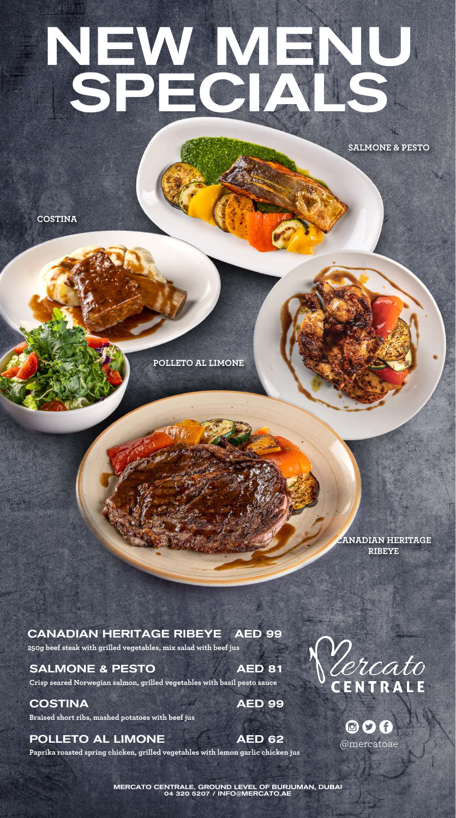# NEW MENU SPECIALS

**SALMONE & PESTO** 

**COSTINA** 

**POLLETO AL LIMONE** 

**CANADIAN HERITAGE RIBEYE** 

CANADIAN HERITAGE RIBEYE AED 99 **250g beef steak with grilled vegetables, mix salad with beef jus**

SALMONE & PESTO AED 81 **Crisp seared Norwegian salmon, grilled vegetables with basil pesto sauce** 

**COSTINA Braised short ribs, mashed potatoes with beef jus** AED 99

POLLETO AL LIMONE AED 62 **Paprika roasted spring chicken, grilled vegetables with lemon garlic chicken jus**



 $\bigcirc$ @mercatoae

MERCATO CENTRALE, GROUND LEVEL OF BURJUMAN, DUBAI 04 320 5207 / INFO@MERCATO.AE